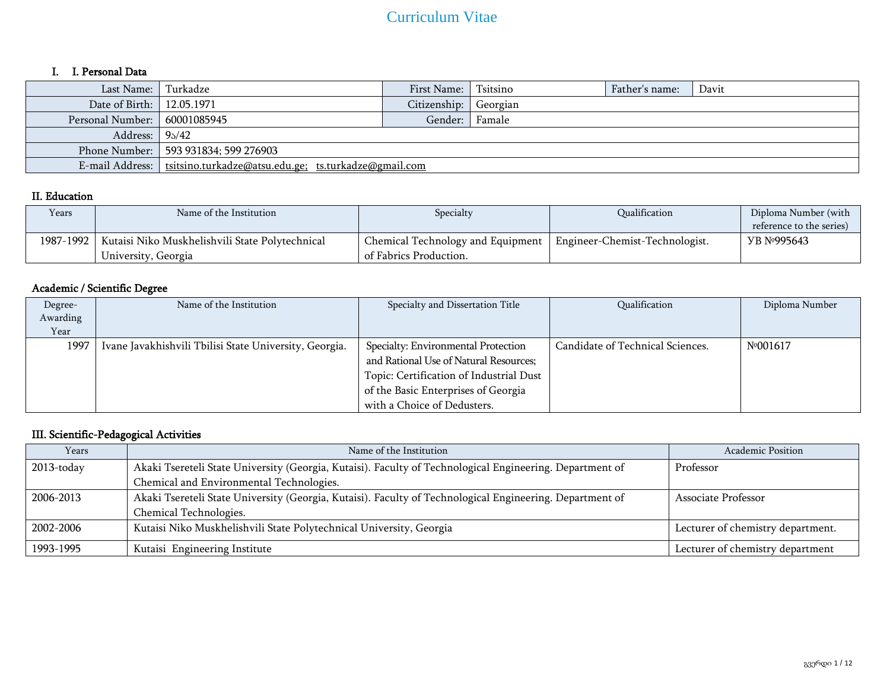## I. I. Personal Data

| Last Name: I Turkadze        |                                                                        | First Name:  | Tsitsino | Father's name: | Davit |  |
|------------------------------|------------------------------------------------------------------------|--------------|----------|----------------|-------|--|
| Date of Birth:   12.05.1971  |                                                                        | Citizenship: | Georgian |                |       |  |
| Personal Number: 60001085945 |                                                                        | Gender:      | Famale   |                |       |  |
| Address: $95/42$             |                                                                        |              |          |                |       |  |
|                              | Phone Number:   593 931834; 599 276903                                 |              |          |                |       |  |
|                              | E-mail Address:   tsitsino.turkadze@atsu.edu.ge; ts.turkadze@gmail.com |              |          |                |       |  |

## II. Education

| Years     | Name of the Institution                         | Specialty                         | Qualification                  | Diploma Number (with<br>reference to the series) |
|-----------|-------------------------------------------------|-----------------------------------|--------------------------------|--------------------------------------------------|
| 1987-1992 | Kutaisi Niko Muskhelishvili State Polytechnical | Chemical Technology and Equipment | Engineer-Chemist-Technologist. | <b>YB Nº995643</b>                               |
|           | University, Georgia                             | of Fabrics Production.            |                                |                                                  |

## Academic / Scientific Degree

| Degree-  | Name of the Institution                                | Specialty and Dissertation Title        | Qualification                    | Diploma Number |
|----------|--------------------------------------------------------|-----------------------------------------|----------------------------------|----------------|
| Awarding |                                                        |                                         |                                  |                |
| Year     |                                                        |                                         |                                  |                |
| 1997     | Ivane Javakhishvili Tbilisi State University, Georgia. | Specialty: Environmental Protection     | Candidate of Technical Sciences. | Nº001617       |
|          |                                                        | and Rational Use of Natural Resources;  |                                  |                |
|          |                                                        | Topic: Certification of Industrial Dust |                                  |                |
|          |                                                        | of the Basic Enterprises of Georgia     |                                  |                |
|          |                                                        | with a Choice of Dedusters.             |                                  |                |

## III. Scientific-Pedagogical Activities

| Years      | Name of the Institution                                                                                  | <b>Academic Position</b>          |
|------------|----------------------------------------------------------------------------------------------------------|-----------------------------------|
| 2013-today | Akaki Tsereteli State University (Georgia, Kutaisi). Faculty of Technological Engineering. Department of | Professor                         |
|            | Chemical and Environmental Technologies.                                                                 |                                   |
| 2006-2013  | Akaki Tsereteli State University (Georgia, Kutaisi). Faculty of Technological Engineering. Department of | Associate Professor               |
|            | Chemical Technologies.                                                                                   |                                   |
| 2002-2006  | Kutaisi Niko Muskhelishvili State Polytechnical University, Georgia                                      | Lecturer of chemistry department. |
| 1993-1995  | Kutaisi Engineering Institute                                                                            | Lecturer of chemistry department  |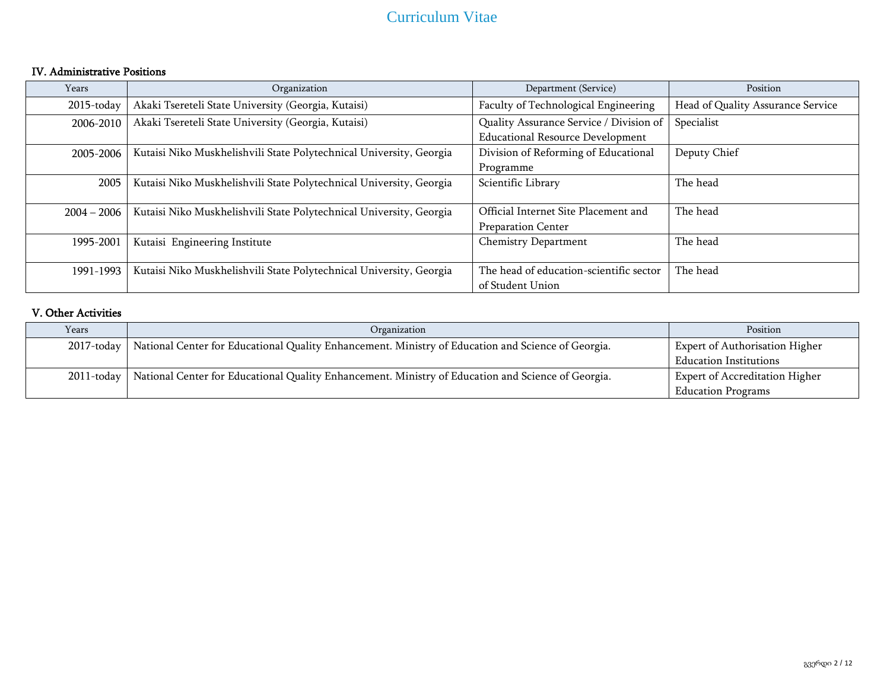## IV. Administrative Positions

| Years         | Organization                                                        | Department (Service)                                              | Position                          |
|---------------|---------------------------------------------------------------------|-------------------------------------------------------------------|-----------------------------------|
| 2015-today    | Akaki Tsereteli State University (Georgia, Kutaisi)                 | Faculty of Technological Engineering                              | Head of Quality Assurance Service |
| 2006-2010     | Akaki Tsereteli State University (Georgia, Kutaisi)                 | Quality Assurance Service / Division of                           | Specialist                        |
|               |                                                                     | <b>Educational Resource Development</b>                           |                                   |
| 2005-2006     | Kutaisi Niko Muskhelishvili State Polytechnical University, Georgia | Division of Reforming of Educational                              | Deputy Chief                      |
|               |                                                                     | Programme                                                         |                                   |
| 2005          | Kutaisi Niko Muskhelishvili State Polytechnical University, Georgia | Scientific Library                                                | The head                          |
| $2004 - 2006$ | Kutaisi Niko Muskhelishvili State Polytechnical University, Georgia | Official Internet Site Placement and<br><b>Preparation Center</b> | The head                          |
| 1995-2001     | Kutaisi Engineering Institute                                       | Chemistry Department                                              | The head                          |
| 1991-1993     | Kutaisi Niko Muskhelishvili State Polytechnical University, Georgia | The head of education-scientific sector<br>of Student Union       | The head                          |

### V. Other Activities

| Years         | Organization                                                                                       | Position                              |
|---------------|----------------------------------------------------------------------------------------------------|---------------------------------------|
| $2017$ -today | National Center for Educational Quality Enhancement. Ministry of Education and Science of Georgia. | <b>Expert of Authorisation Higher</b> |
|               |                                                                                                    | <b>Education Institutions</b>         |
| $2011$ -today | National Center for Educational Quality Enhancement. Ministry of Education and Science of Georgia. | <b>Expert of Accreditation Higher</b> |
|               |                                                                                                    | <b>Education Programs</b>             |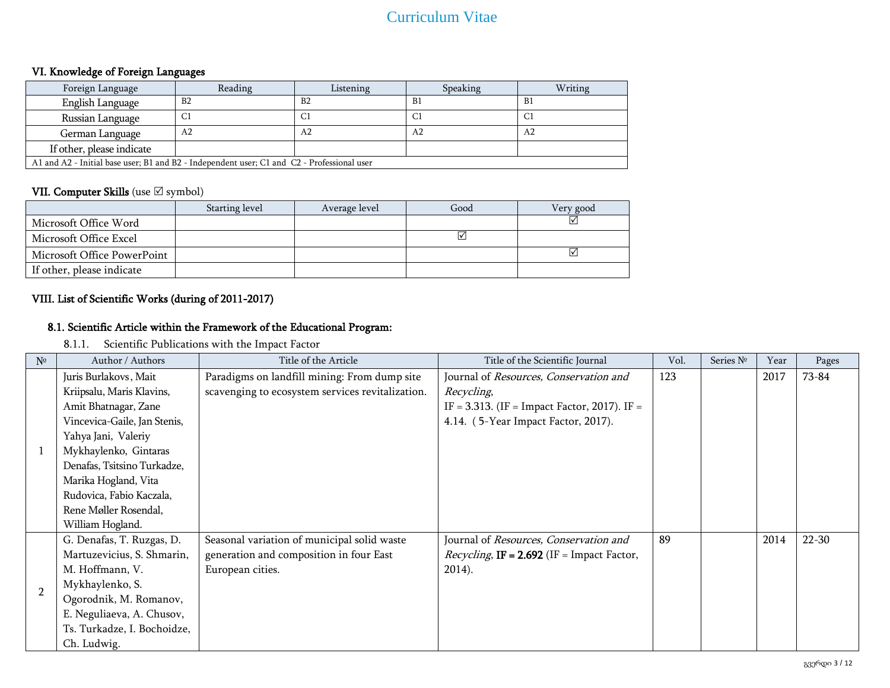## VI. Knowledge of Foreign Languages

| Foreign Language                                                                           | Reading        | Listening      | Speaking       | Writing |  |  |
|--------------------------------------------------------------------------------------------|----------------|----------------|----------------|---------|--|--|
| English Language                                                                           | B <sub>2</sub> | B <sub>2</sub> | B1             | B1      |  |  |
| Russian Language                                                                           | C1             | -C)            | C1             | C1      |  |  |
| German Language                                                                            | A <sub>2</sub> | A <sub>2</sub> | A <sub>2</sub> | A2      |  |  |
| If other, please indicate                                                                  |                |                |                |         |  |  |
| A1 and A2 - Initial base user; B1 and B2 - Independent user; C1 and C2 - Professional user |                |                |                |         |  |  |

## VII. Computer Skills (use  $\boxtimes$  symbol)

|                             | Starting level | Average level | Good | Very good |
|-----------------------------|----------------|---------------|------|-----------|
| Microsoft Office Word       |                |               |      | ☑         |
| Microsoft Office Excel      |                |               | V    |           |
| Microsoft Office PowerPoint |                |               |      | ☑         |
| If other, please indicate   |                |               |      |           |

## VIII. List of Scientific Works (during of 2011-2017)

## 8.1. Scientific Article within the Framework of the Educational Program:

8.1.1. Scientific Publications with the Impact Factor

| $N^{\circ}$    | Author / Authors             | Title of the Article                             | Title of the Scientific Journal                      | Vol. | Series Nº | Year | Pages     |
|----------------|------------------------------|--------------------------------------------------|------------------------------------------------------|------|-----------|------|-----------|
|                | Juris Burlakovs, Mait        | Paradigms on landfill mining: From dump site     | Journal of Resources, Conservation and               | 123  |           | 2017 | 73-84     |
|                | Kriipsalu, Maris Klavins,    | scavenging to ecosystem services revitalization. | Recycling,                                           |      |           |      |           |
|                | Amit Bhatnagar, Zane         |                                                  | IF = 3.313. (IF = Impact Factor, 2017). IF =         |      |           |      |           |
|                | Vincevica-Gaile, Jan Stenis, |                                                  | 4.14. (5-Year Impact Factor, 2017).                  |      |           |      |           |
|                | Yahya Jani, Valeriy          |                                                  |                                                      |      |           |      |           |
|                | Mykhaylenko, Gintaras        |                                                  |                                                      |      |           |      |           |
|                | Denafas, Tsitsino Turkadze,  |                                                  |                                                      |      |           |      |           |
|                | Marika Hogland, Vita         |                                                  |                                                      |      |           |      |           |
|                | Rudovica, Fabio Kaczala,     |                                                  |                                                      |      |           |      |           |
|                | Rene Møller Rosendal,        |                                                  |                                                      |      |           |      |           |
|                | William Hogland.             |                                                  |                                                      |      |           |      |           |
|                | G. Denafas, T. Ruzgas, D.    | Seasonal variation of municipal solid waste      | Journal of Resources, Conservation and               | 89   |           | 2014 | $22 - 30$ |
| $\overline{2}$ | Martuzevicius, S. Shmarin,   | generation and composition in four East          | <i>Recycling</i> , $IF = 2.692$ (IF = Impact Factor, |      |           |      |           |
|                | M. Hoffmann, V.              | European cities.                                 | 2014).                                               |      |           |      |           |
|                | Mykhaylenko, S.              |                                                  |                                                      |      |           |      |           |
|                | Ogorodnik, M. Romanov,       |                                                  |                                                      |      |           |      |           |
|                | E. Neguliaeva, A. Chusov,    |                                                  |                                                      |      |           |      |           |
|                | Ts. Turkadze, I. Bochoidze,  |                                                  |                                                      |      |           |      |           |
|                | Ch. Ludwig.                  |                                                  |                                                      |      |           |      |           |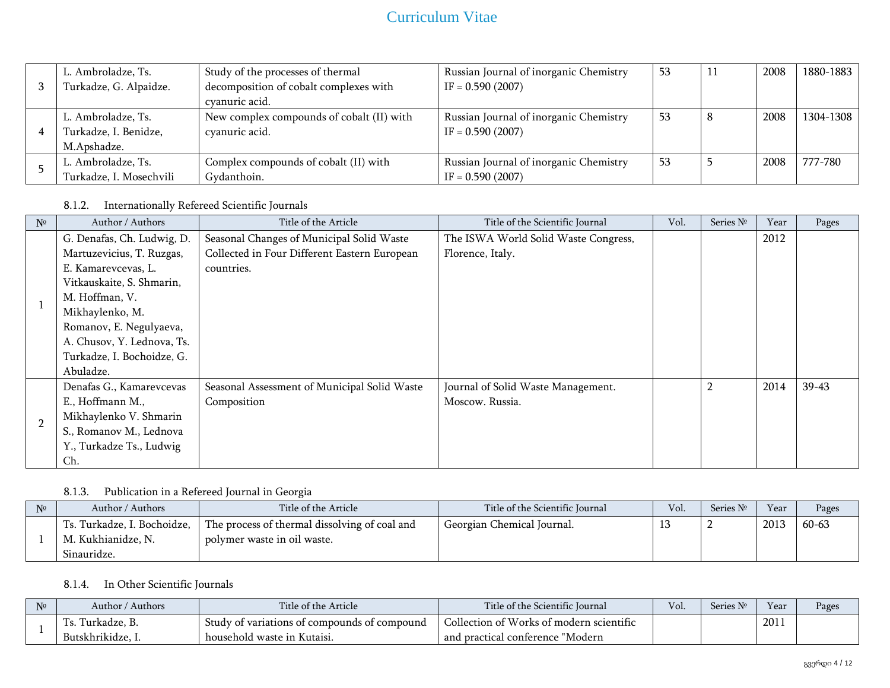| L. Ambroladze, Ts.      | Study of the processes of thermal         | Russian Journal of inorganic Chemistry | 53 | 2008 | 1880-1883 |
|-------------------------|-------------------------------------------|----------------------------------------|----|------|-----------|
| Turkadze, G. Alpaidze.  | decomposition of cobalt complexes with    | $IF = 0.590 (2007)$                    |    |      |           |
|                         | cvanuric acid.                            |                                        |    |      |           |
| L. Ambroladze, Ts.      | New complex compounds of cobalt (II) with | Russian Journal of inorganic Chemistry | 53 | 2008 | 1304-1308 |
| Turkadze, I. Benidze,   | cyanuric acid.                            | $IF = 0.590 (2007)$                    |    |      |           |
| M.Apshadze.             |                                           |                                        |    |      |           |
| L. Ambroladze, Ts.      | Complex compounds of cobalt (II) with     | Russian Journal of inorganic Chemistry | 53 | 2008 | 777-780   |
| Turkadze, I. Mosechvili | Gydanthoin.                               | $IF = 0.590 (2007)$                    |    |      |           |

## 8.1.2. Internationally Refereed Scientific Journals

| $N^{\circ}$    | Author / Authors           | Title of the Article                         | Title of the Scientific Journal      | Vol. | Series Nº | Year | Pages   |
|----------------|----------------------------|----------------------------------------------|--------------------------------------|------|-----------|------|---------|
|                | G. Denafas, Ch. Ludwig, D. | Seasonal Changes of Municipal Solid Waste    | The ISWA World Solid Waste Congress, |      |           | 2012 |         |
|                | Martuzevicius, T. Ruzgas,  | Collected in Four Different Eastern European | Florence, Italy.                     |      |           |      |         |
|                | E. Kamarevcevas, L.        | countries.                                   |                                      |      |           |      |         |
|                | Vitkauskaite, S. Shmarin,  |                                              |                                      |      |           |      |         |
|                | M. Hoffman, V.             |                                              |                                      |      |           |      |         |
|                | Mikhaylenko, M.            |                                              |                                      |      |           |      |         |
|                | Romanov, E. Negulyaeva,    |                                              |                                      |      |           |      |         |
|                | A. Chusov, Y. Lednova, Ts. |                                              |                                      |      |           |      |         |
|                | Turkadze, I. Bochoidze, G. |                                              |                                      |      |           |      |         |
|                | Abuladze.                  |                                              |                                      |      |           |      |         |
|                | Denafas G., Kamarevcevas   | Seasonal Assessment of Municipal Solid Waste | Journal of Solid Waste Management.   |      |           | 2014 | $39-43$ |
|                | E., Hoffmann M.,           | Composition                                  | Moscow. Russia.                      |      |           |      |         |
| $\overline{2}$ | Mikhaylenko V. Shmarin     |                                              |                                      |      |           |      |         |
|                | S., Romanov M., Lednova    |                                              |                                      |      |           |      |         |
|                | Y., Turkadze Ts., Ludwig   |                                              |                                      |      |           |      |         |
|                | Ch.                        |                                              |                                      |      |           |      |         |

## 8.1.3. Publication in a Refereed Journal in Georgia

| N <sub>2</sub> | Author / Authors            | Title of the Article                          | Title of the Scientific Journal | Vol. | Series $N°$ | Year | Pages     |
|----------------|-----------------------------|-----------------------------------------------|---------------------------------|------|-------------|------|-----------|
|                | Ts. Turkadze, I. Bochoidze, | The process of thermal dissolving of coal and | Georgian Chemical Journal.      |      |             | 2013 | $60 - 63$ |
|                | M. Kukhianidze, N.          | polymer waste in oil waste.                   |                                 |      |             |      |           |
|                | Sinauridze.                 |                                               |                                 |      |             |      |           |

## 8.1.4. In Other Scientific Journals

| $N^{\circ}$ | Author /<br>Authors | Title of the Article                         | Title of the Scientific Journal          | Vol. | T<br>Series . | Vear             | Pages |
|-------------|---------------------|----------------------------------------------|------------------------------------------|------|---------------|------------------|-------|
|             | Turkadze, B.        | Study of variations of compounds of compound | Collection of Works of modern scientific |      |               | 201 <sub>1</sub> |       |
|             | Butskhrikidze, I.   | household waste in Kutaisi.                  | "Modern<br>and practical conference      |      |               |                  |       |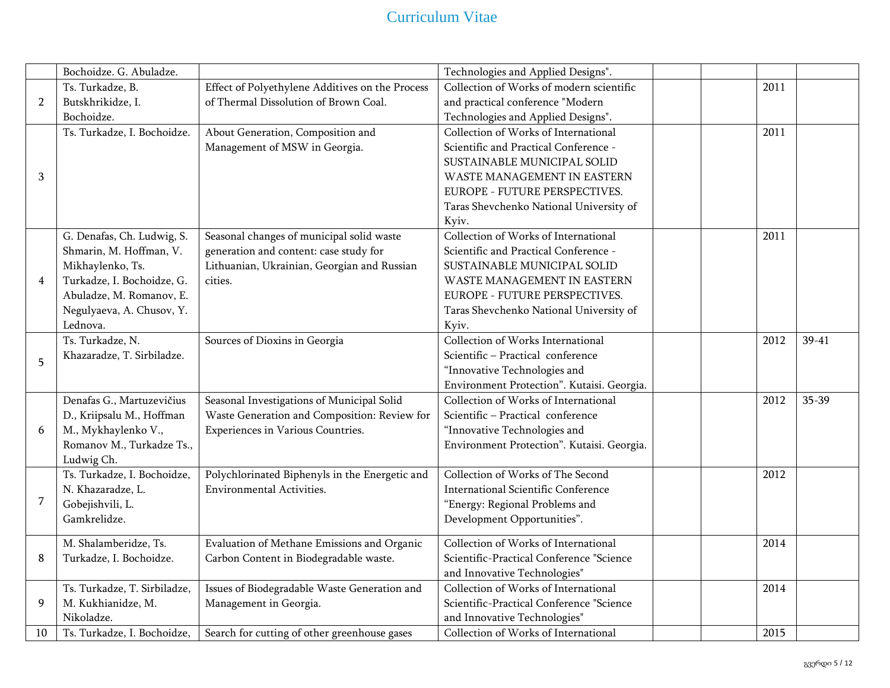|                | Bochoidze. G. Abuladze.      |                                                 | Technologies and Applied Designs".         |      |           |
|----------------|------------------------------|-------------------------------------------------|--------------------------------------------|------|-----------|
|                | Ts. Turkadze, B.             | Effect of Polyethylene Additives on the Process | Collection of Works of modern scientific   | 2011 |           |
| $\overline{2}$ | Butskhrikidze, I.            | of Thermal Dissolution of Brown Coal.           | and practical conference "Modern           |      |           |
|                | Bochoidze.                   |                                                 | Technologies and Applied Designs".         |      |           |
|                | Ts. Turkadze, I. Bochoidze.  | About Generation, Composition and               | Collection of Works of International       | 2011 |           |
|                |                              | Management of MSW in Georgia.                   | Scientific and Practical Conference -      |      |           |
|                |                              |                                                 | SUSTAINABLE MUNICIPAL SOLID                |      |           |
| 3              |                              |                                                 | WASTE MANAGEMENT IN EASTERN                |      |           |
|                |                              |                                                 | EUROPE - FUTURE PERSPECTIVES.              |      |           |
|                |                              |                                                 | Taras Shevchenko National University of    |      |           |
|                |                              |                                                 | Kyiv.                                      |      |           |
|                | G. Denafas, Ch. Ludwig, S.   | Seasonal changes of municipal solid waste       | Collection of Works of International       | 2011 |           |
|                | Shmarin, M. Hoffman, V.      | generation and content: case study for          | Scientific and Practical Conference -      |      |           |
|                | Mikhaylenko, Ts.             | Lithuanian, Ukrainian, Georgian and Russian     | SUSTAINABLE MUNICIPAL SOLID                |      |           |
| $\overline{4}$ | Turkadze, I. Bochoidze, G.   | cities.                                         | WASTE MANAGEMENT IN EASTERN                |      |           |
|                | Abuladze, M. Romanov, E.     |                                                 | EUROPE - FUTURE PERSPECTIVES.              |      |           |
|                | Negulyaeva, A. Chusov, Y.    |                                                 | Taras Shevchenko National University of    |      |           |
|                | Lednova.                     |                                                 | Kyiv.                                      |      |           |
|                | Ts. Turkadze, N.             | Sources of Dioxins in Georgia                   | Collection of Works International          | 2012 | $39 - 41$ |
|                | Khazaradze, T. Sirbiladze.   |                                                 | Scientific - Practical conference          |      |           |
| 5              |                              |                                                 | "Innovative Technologies and               |      |           |
|                |                              |                                                 | Environment Protection". Kutaisi. Georgia. |      |           |
|                | Denafas G., Martuzevičius    | Seasonal Investigations of Municipal Solid      | Collection of Works of International       | 2012 | 35-39     |
|                | D., Kriipsalu M., Hoffman    | Waste Generation and Composition: Review for    | Scientific - Practical conference          |      |           |
| 6              | M., Mykhaylenko V.,          | Experiences in Various Countries.               | "Innovative Technologies and               |      |           |
|                | Romanov M., Turkadze Ts.,    |                                                 | Environment Protection". Kutaisi. Georgia. |      |           |
|                | Ludwig Ch.                   |                                                 |                                            |      |           |
|                | Ts. Turkadze, I. Bochoidze,  | Polychlorinated Biphenyls in the Energetic and  | Collection of Works of The Second          | 2012 |           |
|                | N. Khazaradze, L.            | Environmental Activities.                       | <b>International Scientific Conference</b> |      |           |
| 7              | Gobejishvili, L.             |                                                 | "Energy: Regional Problems and             |      |           |
|                | Gamkrelidze.                 |                                                 | Development Opportunities".                |      |           |
|                | M. Shalamberidze, Ts.        | Evaluation of Methane Emissions and Organic     | Collection of Works of International       | 2014 |           |
| 8              | Turkadze, I. Bochoidze.      | Carbon Content in Biodegradable waste.          | Scientific-Practical Conference "Science   |      |           |
|                |                              |                                                 | and Innovative Technologies"               |      |           |
|                | Ts. Turkadze, T. Sirbiladze, | Issues of Biodegradable Waste Generation and    | Collection of Works of International       | 2014 |           |
| 9              | M. Kukhianidze, M.           | Management in Georgia.                          | Scientific-Practical Conference "Science   |      |           |
|                | Nikoladze.                   |                                                 | and Innovative Technologies"               |      |           |
| 10             | Ts. Turkadze, I. Bochoidze,  | Search for cutting of other greenhouse gases    | Collection of Works of International       | 2015 |           |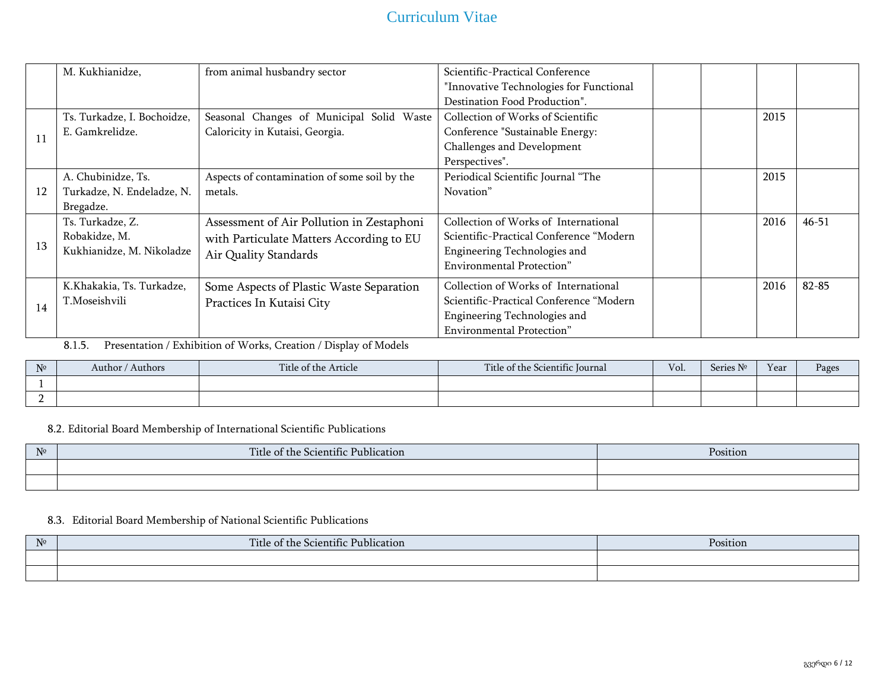|    | M. Kukhianidze,             | from animal husbandry sector                 | Scientific-Practical Conference         |      |           |
|----|-----------------------------|----------------------------------------------|-----------------------------------------|------|-----------|
|    |                             |                                              | "Innovative Technologies for Functional |      |           |
|    |                             |                                              | Destination Food Production".           |      |           |
|    |                             |                                              |                                         |      |           |
|    | Ts. Turkadze, I. Bochoidze, | Seasonal Changes of Municipal Solid Waste    | Collection of Works of Scientific       | 2015 |           |
| 11 | E. Gamkrelidze.             | Caloricity in Kutaisi, Georgia.              | Conference "Sustainable Energy:         |      |           |
|    |                             |                                              | Challenges and Development              |      |           |
|    |                             |                                              | Perspectives".                          |      |           |
|    | A. Chubinidze, Ts.          | Aspects of contamination of some soil by the | Periodical Scientific Journal "The      | 2015 |           |
| 12 | Turkadze, N. Endeladze, N.  | metals.                                      | Novation"                               |      |           |
|    | Bregadze.                   |                                              |                                         |      |           |
|    | Ts. Turkadze, Z.            | Assessment of Air Pollution in Zestaphoni    | Collection of Works of International    | 2016 | $46 - 51$ |
|    | Robakidze, M.               | with Particulate Matters According to EU     | Scientific-Practical Conference "Modern |      |           |
| 13 | Kukhianidze, M. Nikoladze   | Air Quality Standards                        | Engineering Technologies and            |      |           |
|    |                             |                                              | <b>Environmental Protection</b> "       |      |           |
|    |                             |                                              |                                         |      |           |
|    | K.Khakakia, Ts. Turkadze,   | Some Aspects of Plastic Waste Separation     | Collection of Works of International    | 2016 | 82-85     |
| 14 | T.Moseishvili               | Practices In Kutaisi City                    | Scientific-Practical Conference "Modern |      |           |
|    |                             |                                              | Engineering Technologies and            |      |           |
|    |                             |                                              | <b>Environmental Protection"</b>        |      |           |

8.1.5. Presentation / Exhibition of Works, Creation / Display of Models

| $N^{\circ}$ | Author / Authors | Title of the Article | Title of the Scientific Journal | Vol. | $\mathbf{R}$<br>Series<br>n k | Year | Pages |
|-------------|------------------|----------------------|---------------------------------|------|-------------------------------|------|-------|
|             |                  |                      |                                 |      |                               |      |       |
|             |                  |                      |                                 |      |                               |      |       |

8.2. Editorial Board Membership of International Scientific Publications

| $N_{0}$<br>. | Title of the<br>1.1<br>$\cdot$ $\sim$<br>Publication<br>-Scientific- | Position |
|--------------|----------------------------------------------------------------------|----------|
|              |                                                                      |          |
|              |                                                                      |          |

### 8.3. Editorial Board Membership of National Scientific Publications

| $N^{\circ}$ | Title of the Scientific Publication | Position |
|-------------|-------------------------------------|----------|
|             |                                     |          |
|             |                                     |          |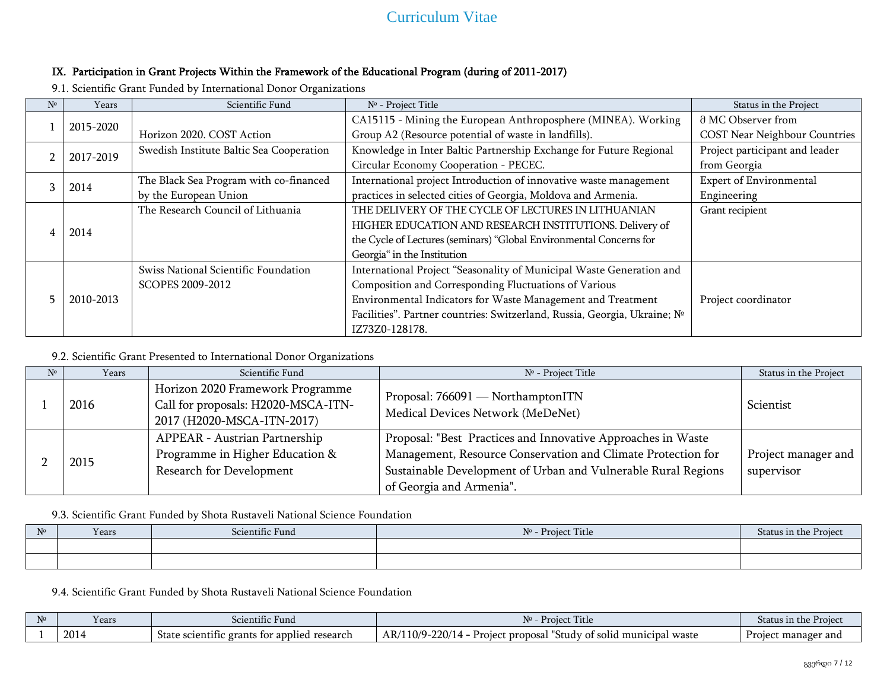## IX. Participation in Grant Projects Within the Framework of the Educational Program (during of 2011-2017)

9.1. Scientific Grant Funded by International Donor Organizations

| Nº | Years     | Scientific Fund                          | Nº - Project Title                                                       | Status in the Project                |
|----|-----------|------------------------------------------|--------------------------------------------------------------------------|--------------------------------------|
|    | 2015-2020 |                                          | CA15115 - Mining the European Anthroposphere (MINEA). Working            | d MC Observer from                   |
|    |           | Horizon 2020. COST Action                | Group A2 (Resource potential of waste in landfills).                     | <b>COST Near Neighbour Countries</b> |
|    |           | Swedish Institute Baltic Sea Cooperation | Knowledge in Inter Baltic Partnership Exchange for Future Regional       | Project participant and leader       |
|    | 2017-2019 |                                          | Circular Economy Cooperation - PECEC.                                    | from Georgia                         |
|    |           | The Black Sea Program with co-financed   | International project Introduction of innovative waste management        | <b>Expert of Environmental</b>       |
|    | 2014      | by the European Union                    | practices in selected cities of Georgia, Moldova and Armenia.            | Engineering                          |
|    |           | The Research Council of Lithuania        | THE DELIVERY OF THE CYCLE OF LECTURES IN LITHUANIAN                      | Grant recipient                      |
|    | 2014      |                                          | HIGHER EDUCATION AND RESEARCH INSTITUTIONS. Delivery of                  |                                      |
|    |           |                                          | the Cycle of Lectures (seminars) "Global Environmental Concerns for      |                                      |
|    |           |                                          | Georgia" in the Institution                                              |                                      |
|    |           | Swiss National Scientific Foundation     | International Project "Seasonality of Municipal Waste Generation and     |                                      |
|    |           | <b>SCOPES 2009-2012</b>                  | Composition and Corresponding Fluctuations of Various                    |                                      |
|    | 2010-2013 |                                          | Environmental Indicators for Waste Management and Treatment              | Project coordinator                  |
|    |           |                                          | Facilities". Partner countries: Switzerland, Russia, Georgia, Ukraine; № |                                      |
|    |           |                                          | IZ73Z0-128178.                                                           |                                      |

9.2. Scientific Grant Presented to International Donor Organizations

| $N^{\circ}$ | Years | Scientific Fund                                                                                       | Nº - Project Title                                                                                                                                                                                                        | Status in the Project             |
|-------------|-------|-------------------------------------------------------------------------------------------------------|---------------------------------------------------------------------------------------------------------------------------------------------------------------------------------------------------------------------------|-----------------------------------|
|             | 2016  | Horizon 2020 Framework Programme<br>Call for proposals: H2020-MSCA-ITN-<br>2017 (H2020-MSCA-ITN-2017) | Proposal: 766091 — NorthamptonITN<br>Medical Devices Network (MeDeNet)                                                                                                                                                    | Scientist                         |
|             | 2015  | APPEAR - Austrian Partnership<br>Programme in Higher Education &<br>Research for Development          | Proposal: "Best Practices and Innovative Approaches in Waste<br>Management, Resource Conservation and Climate Protection for<br>Sustainable Development of Urban and Vulnerable Rural Regions<br>of Georgia and Armenia". | Project manager and<br>supervisor |

9.3. Scientific Grant Funded by Shota Rustaveli National Science Foundation

| $N^{\circ}$ | Years | Scientific Fund | Title<br>$N^{\circ}$ - Projec | status in |
|-------------|-------|-----------------|-------------------------------|-----------|
|             |       |                 |                               |           |
|             |       |                 |                               |           |

9.4. Scientific Grant Funded by Shota Rustaveli National Science Foundation

| N <sub>2</sub> | Y ear: | <b>TIME</b><br>$\cdot$ $\sim$<br>scientific<br>Fund                       | Pro<br>'Title                                                                                                   | Projec<br>is in the l<br>וזני<br>. JLA LL |
|----------------|--------|---------------------------------------------------------------------------|-----------------------------------------------------------------------------------------------------------------|-------------------------------------------|
|                | 2014   | research<br>. grants for<br>0010m<br>applied<br>State<br>:пипс<br>$\cdot$ | 220/1<br>.10/9<br>AR,<br><sup>+</sup> proposal<br>- Projec<br>waste<br>municipal<br>solid<br>ں udd <sup>v</sup> | nanager and<br>1222<br>ו מי               |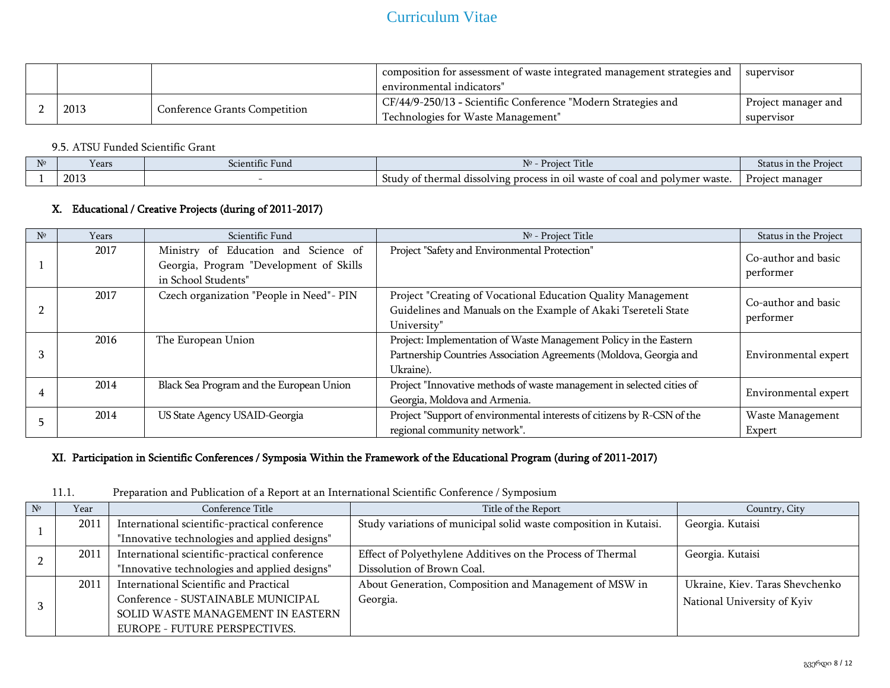|      |                                      | composition for assessment of waste integrated management strategies and<br>environmental indicators" | supervisor          |
|------|--------------------------------------|-------------------------------------------------------------------------------------------------------|---------------------|
| 2013 | <b>Conference Grants Competition</b> | CF/44/9-250/13 - Scientific Conference "Modern Strategies and                                         | Project manager and |
|      |                                      | Technologies for Waste Management"                                                                    | supervisor          |

### 9.5. ATSU Funded Scientific Grant

| N <sub>2</sub> | Years | $\cdot$ $\sim$<br>Scientific Fund | Proje<br>---                                                                                                                | Projec<br>s in the<br>Status |
|----------------|-------|-----------------------------------|-----------------------------------------------------------------------------------------------------------------------------|------------------------------|
|                | 2013  |                                   | cess in oil waste<br>t thermal dissolving-<br>coal and<br>Study<br>nolymer waste.<br>$\sim$ $\sim$ $\sim$<br>" DIOC.<br>,,, | Project manager              |

### X. Educational / Creative Projects (during of 2011-2017)

| $N^{\circ}$ | Years | Scientific Fund                                                                                        | $N0$ - Project Title                                                                                                                                 | Status in the Project            |
|-------------|-------|--------------------------------------------------------------------------------------------------------|------------------------------------------------------------------------------------------------------------------------------------------------------|----------------------------------|
|             | 2017  | Ministry of Education and Science of<br>Georgia, Program "Development of Skills<br>in School Students" | Project "Safety and Environmental Protection"                                                                                                        | Co-author and basic<br>performer |
|             | 2017  | Czech organization "People in Need"- PIN                                                               | Project "Creating of Vocational Education Quality Management<br>Guidelines and Manuals on the Example of Akaki Tsereteli State<br>University"        | Co-author and basic<br>performer |
|             | 2016  | The European Union                                                                                     | Project: Implementation of Waste Management Policy in the Eastern<br>Partnership Countries Association Agreements (Moldova, Georgia and<br>Ukraine). | Environmental expert             |
|             | 2014  | Black Sea Program and the European Union                                                               | Project "Innovative methods of waste management in selected cities of<br>Georgia, Moldova and Armenia.                                               | Environmental expert             |
|             | 2014  | US State Agency USAID-Georgia                                                                          | Project "Support of environmental interests of citizens by R-CSN of the<br>regional community network".                                              | Waste Management<br>Expert       |

## XI. Participation in Scientific Conferences / Symposia Within the Framework of the Educational Program (during of 2011-2017)

| 11.1. |  |  |  | Preparation and Publication of a Report at an International Scientific Conference / Symposium |  |
|-------|--|--|--|-----------------------------------------------------------------------------------------------|--|
|-------|--|--|--|-----------------------------------------------------------------------------------------------|--|

| Year | Conference Title                              | Title of the Report                                               | Country, City                   |
|------|-----------------------------------------------|-------------------------------------------------------------------|---------------------------------|
| 2011 | International scientific-practical conference | Study variations of municipal solid waste composition in Kutaisi. | Georgia. Kutaisi                |
|      | "Innovative technologies and applied designs" |                                                                   |                                 |
| 2011 | International scientific-practical conference | Effect of Polyethylene Additives on the Process of Thermal        | Georgia. Kutaisi                |
|      | "Innovative technologies and applied designs" | Dissolution of Brown Coal.                                        |                                 |
| 2011 | International Scientific and Practical        | About Generation, Composition and Management of MSW in            | Ukraine, Kiev. Taras Shevchenko |
|      | Conference - SUSTAINABLE MUNICIPAL            | Georgia.                                                          | National University of Kyiv     |
|      | SOLID WASTE MANAGEMENT IN EASTERN             |                                                                   |                                 |
|      | EUROPE - FUTURE PERSPECTIVES.                 |                                                                   |                                 |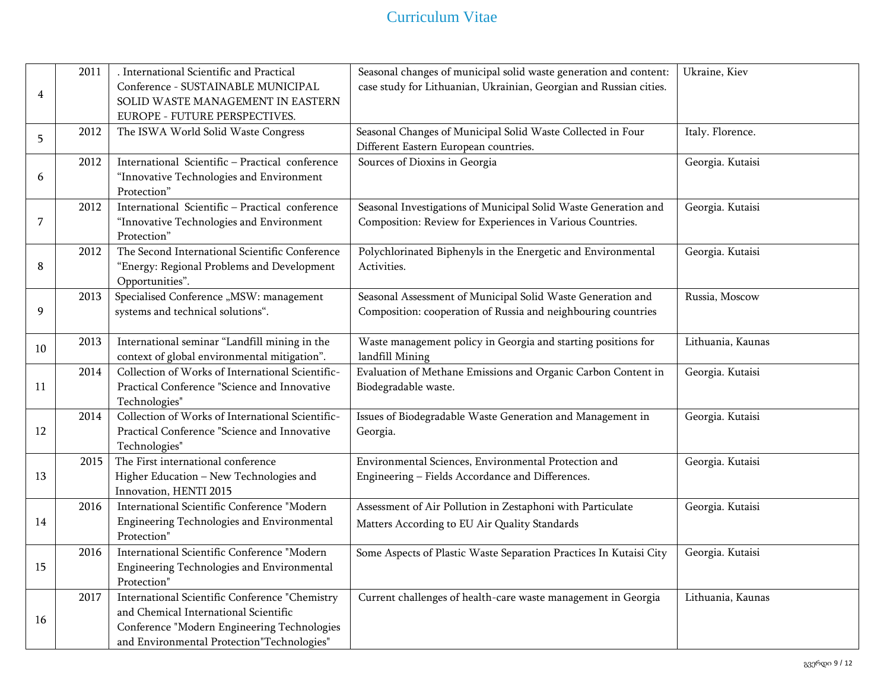|    | 2011 | . International Scientific and Practical         | Seasonal changes of municipal solid waste generation and content:  | Ukraine, Kiev     |
|----|------|--------------------------------------------------|--------------------------------------------------------------------|-------------------|
|    |      | Conference - SUSTAINABLE MUNICIPAL               | case study for Lithuanian, Ukrainian, Georgian and Russian cities. |                   |
| 4  |      | SOLID WASTE MANAGEMENT IN EASTERN                |                                                                    |                   |
|    |      | EUROPE - FUTURE PERSPECTIVES.                    |                                                                    |                   |
|    | 2012 | The ISWA World Solid Waste Congress              | Seasonal Changes of Municipal Solid Waste Collected in Four        | Italy. Florence.  |
| 5  |      |                                                  | Different Eastern European countries.                              |                   |
|    | 2012 | International Scientific - Practical conference  | Sources of Dioxins in Georgia                                      | Georgia. Kutaisi  |
| 6  |      | "Innovative Technologies and Environment         |                                                                    |                   |
|    |      | Protection"                                      |                                                                    |                   |
|    | 2012 | International Scientific - Practical conference  | Seasonal Investigations of Municipal Solid Waste Generation and    | Georgia. Kutaisi  |
| 7  |      | "Innovative Technologies and Environment         | Composition: Review for Experiences in Various Countries.          |                   |
|    |      | Protection"                                      |                                                                    |                   |
|    | 2012 | The Second International Scientific Conference   | Polychlorinated Biphenyls in the Energetic and Environmental       | Georgia. Kutaisi  |
| 8  |      | "Energy: Regional Problems and Development       | Activities.                                                        |                   |
|    |      | Opportunities".                                  |                                                                    |                   |
|    | 2013 | Specialised Conference "MSW: management          | Seasonal Assessment of Municipal Solid Waste Generation and        | Russia, Moscow    |
| 9  |      | systems and technical solutions".                | Composition: cooperation of Russia and neighbouring countries      |                   |
|    |      |                                                  |                                                                    |                   |
|    | 2013 | International seminar "Landfill mining in the    | Waste management policy in Georgia and starting positions for      | Lithuania, Kaunas |
| 10 |      | context of global environmental mitigation".     | landfill Mining                                                    |                   |
|    | 2014 | Collection of Works of International Scientific- | Evaluation of Methane Emissions and Organic Carbon Content in      | Georgia. Kutaisi  |
| 11 |      | Practical Conference "Science and Innovative     | Biodegradable waste.                                               |                   |
|    |      | Technologies"                                    |                                                                    |                   |
|    | 2014 | Collection of Works of International Scientific- | Issues of Biodegradable Waste Generation and Management in         | Georgia. Kutaisi  |
| 12 |      | Practical Conference "Science and Innovative     | Georgia.                                                           |                   |
|    |      | Technologies"                                    |                                                                    |                   |
|    | 2015 | The First international conference               | Environmental Sciences, Environmental Protection and               | Georgia. Kutaisi  |
| 13 |      | Higher Education - New Technologies and          | Engineering - Fields Accordance and Differences.                   |                   |
|    |      | Innovation, HENTI 2015                           |                                                                    |                   |
|    | 2016 | International Scientific Conference "Modern      | Assessment of Air Pollution in Zestaphoni with Particulate         | Georgia. Kutaisi  |
| 14 |      | Engineering Technologies and Environmental       | Matters According to EU Air Quality Standards                      |                   |
|    |      | Protection"                                      |                                                                    |                   |
|    | 2016 | International Scientific Conference "Modern      | Some Aspects of Plastic Waste Separation Practices In Kutaisi City | Georgia. Kutaisi  |
| 15 |      | Engineering Technologies and Environmental       |                                                                    |                   |
|    |      | Protection'                                      |                                                                    |                   |
|    | 2017 | International Scientific Conference "Chemistry   | Current challenges of health-care waste management in Georgia      | Lithuania, Kaunas |
|    |      | and Chemical International Scientific            |                                                                    |                   |
| 16 |      | Conference "Modern Engineering Technologies      |                                                                    |                   |
|    |      | and Environmental Protection"Technologies"       |                                                                    |                   |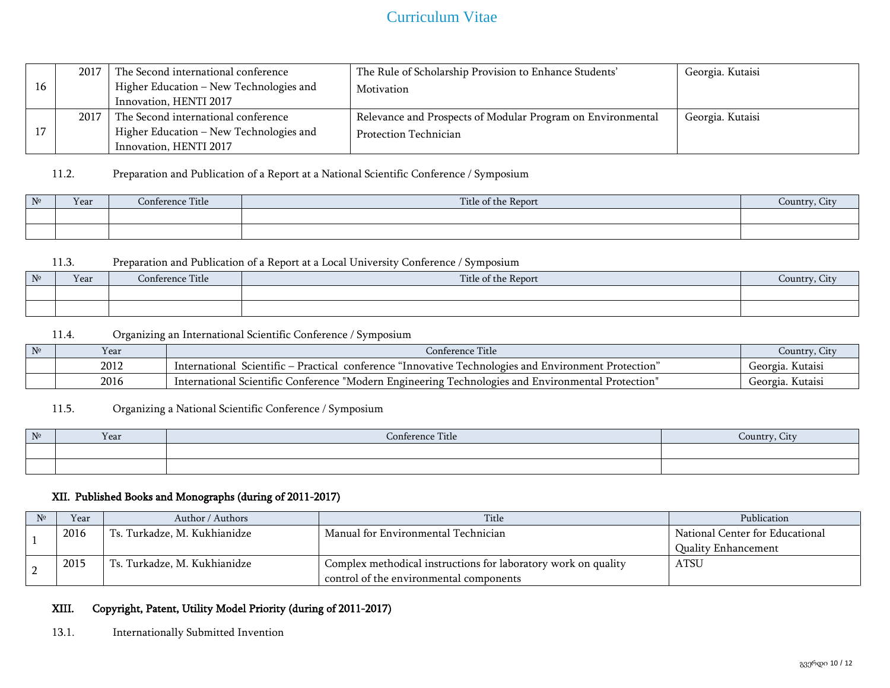| 16 | 2017 | The Second international conference<br>Higher Education - New Technologies and<br>Innovation, HENTI 2017 | The Rule of Scholarship Provision to Enhance Students'<br>Motivation                 | Georgia. Kutaisi |
|----|------|----------------------------------------------------------------------------------------------------------|--------------------------------------------------------------------------------------|------------------|
|    | 2017 | The Second international conference<br>Higher Education - New Technologies and<br>Innovation, HENTI 2017 | Relevance and Prospects of Modular Program on Environmental<br>Protection Technician | Georgia. Kutaisi |

## 11.2. Preparation and Publication of a Report at a National Scientific Conference / Symposium

| N <sup>2</sup> | Year | Title<br>Conference | Title of the Report | $\cdot$ $\alpha$ <sub>11</sub> $\alpha$ <sup>+</sup> |
|----------------|------|---------------------|---------------------|------------------------------------------------------|
|                |      |                     |                     |                                                      |
|                |      |                     |                     |                                                      |

#### 11.3. Preparation and Publication of a Report at a Local University Conference / Symposium

| $N^{\circ}$ | Year | Conference Title | Title of the Report | $\sqrt{\text{counter}}$ |
|-------------|------|------------------|---------------------|-------------------------|
|             |      |                  |                     |                         |
|             |      |                  |                     |                         |

### 11.4. Organizing an International Scientific Conference / Symposium

| $N^{\circ}$ | Y ear | control.<br><b>Title</b><br>conference                                                                                                      | Country               |
|-------------|-------|---------------------------------------------------------------------------------------------------------------------------------------------|-----------------------|
|             | 2012  | Uechnologies and Environment.<br>conference<br>Protection<br>International<br>al innovative<br><sup>o</sup> ractical<br>Scientific          | . Kutaisi<br>Georgia. |
|             | 2016  | $\cdot$<br>Modern Engineering<br><b>Protection</b><br>onference. ن<br>Environmental<br>Scientific<br>Technologies and<br>Intern<br>iafionai | Georgia.<br>. Kutaisi |

### 11.5. Organizing a National Scientific Conference / Symposium

| N <sub>2</sub><br><b>TI</b> | Year | Conference Title | Jountry. C<br>. if v |
|-----------------------------|------|------------------|----------------------|
|                             |      |                  |                      |
|                             |      |                  |                      |

#### XII. Published Books and Monographs (during of 2011-2017)

| Year | Author / Authors             | Title                                                          | Publication                     |
|------|------------------------------|----------------------------------------------------------------|---------------------------------|
| 2016 | Ts. Turkadze, M. Kukhianidze | Manual for Environmental Technician                            | National Center for Educational |
|      |                              |                                                                | <b>Quality Enhancement</b>      |
| 2015 | Ts. Turkadze, M. Kukhianidze | Complex methodical instructions for laboratory work on quality | <b>ATSU</b>                     |
|      |                              | control of the environmental components                        |                                 |

#### XIII. Copyright, Patent, Utility Model Priority (during of 2011-2017)

#### 13.1. Internationally Submitted Invention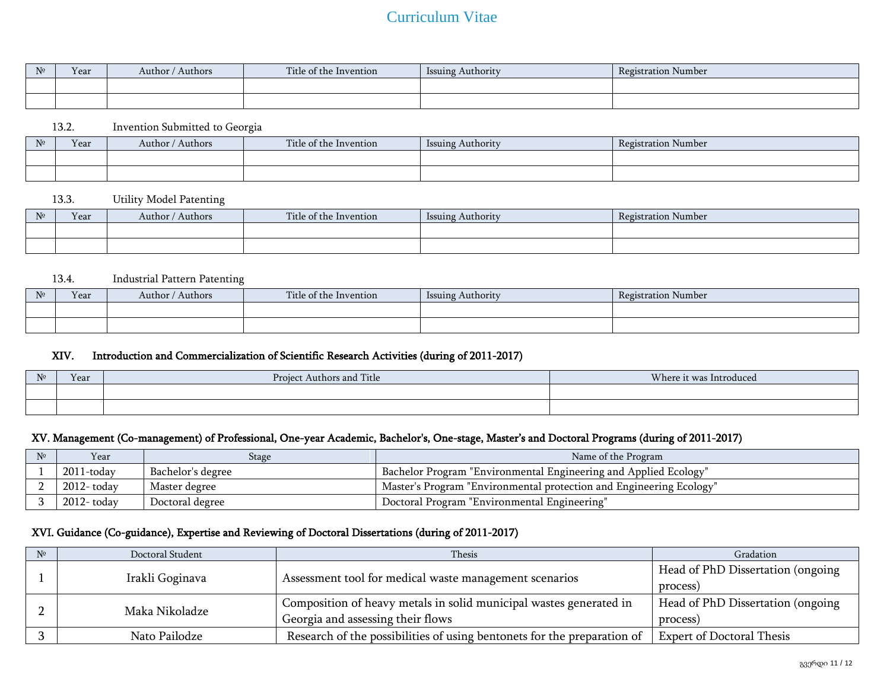| $N^{\circ}$ | Year | / Authors<br>Author / | $T = 1$<br>Title of the<br>Invention | Issuing<br>Authority | Registi<br>Number<br>ration : |
|-------------|------|-----------------------|--------------------------------------|----------------------|-------------------------------|
|             |      |                       |                                      |                      |                               |
|             |      |                       |                                      |                      |                               |

#### 13.2. Invention Submitted to Georgia

| No<br>$\overline{a}$ | Year | Author / Authors | Title of the Invention | Issuing Authority | $\blacksquare$<br>Registration Number |
|----------------------|------|------------------|------------------------|-------------------|---------------------------------------|
|                      |      |                  |                        |                   |                                       |
|                      |      |                  |                        |                   |                                       |

#### 13.3. Utility Model Patenting

| N <sup>0</sup> | Year | ' Authors<br>Author / | Title of the Invention | Issuing Authority | <b>Registration Number</b> |
|----------------|------|-----------------------|------------------------|-------------------|----------------------------|
|                |      |                       |                        |                   |                            |
|                |      |                       |                        |                   |                            |

#### 13.4. Industrial Pattern Patenting

| No | Year | Authors<br>Author / | arms and<br>Title of the Invention | Issuing Authority | Registration Number |
|----|------|---------------------|------------------------------------|-------------------|---------------------|
|    |      |                     |                                    |                   |                     |
|    |      |                     |                                    |                   |                     |

#### XIV. Introduction and Commercialization of Scientific Research Activities (during of 2011-2017)

| N <sub>2</sub> | Year | $T = 1$<br>Project Authors and<br>'l'itle | Where it was Introduced<br>. |
|----------------|------|-------------------------------------------|------------------------------|
|                |      |                                           |                              |
|                |      |                                           |                              |

### XV. Management (Co-management) of Professional, One-year Academic, Bachelor's, One-stage, Master's and Doctoral Programs (during of 2011-2017)

| Year          | Stage             | Name of the Program                                                 |
|---------------|-------------------|---------------------------------------------------------------------|
| $2011$ -todav | Bachelor's degree | "Bachelor Program "Environmental Engineering and Applied Ecology    |
| 2012- todav   | Master degree     | "Master's Program "Environmental protection and Engineering Ecology |
| 2012- todav   | Doctoral degree   | "Doctoral Program "Environmental Engineering                        |

## XVI. Guidance (Co-guidance), Expertise and Reviewing of Doctoral Dissertations (during of 2011-2017)

|  | Doctoral Student | Thesis                                                                  | Gradation                         |
|--|------------------|-------------------------------------------------------------------------|-----------------------------------|
|  | Irakli Goginava  | Assessment tool for medical waste management scenarios                  | Head of PhD Dissertation (ongoing |
|  |                  |                                                                         | process)                          |
|  | Maka Nikoladze   | Composition of heavy metals in solid municipal wastes generated in      | Head of PhD Dissertation (ongoing |
|  |                  | Georgia and assessing their flows                                       | process)                          |
|  | Nato Pailodze    | Research of the possibilities of using bentonets for the preparation of | <b>Expert of Doctoral Thesis</b>  |